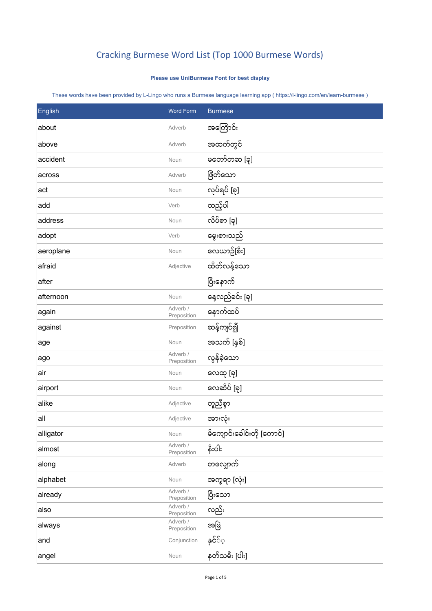## Cracking Burmese Word List (Top 1000 Burmese Words)

## **Please use UniBurmese Font for best display**

These words have been provided by L-Lingo who runs a Burmese language learning app ( https://l-lingo.com/en/learn-burmese )

| English   | <b>Word Form</b>        | <b>Burmese</b>             |
|-----------|-------------------------|----------------------------|
| about     | Adverb                  | အကြောင်း                   |
| above     | Adverb                  | အထက်တွင်                   |
| accident  | Noun                    | မတော်တဆ [ခု]               |
| across    | Adverb                  | ဖြိတ်သော                   |
| act       | Noun                    | လုပ်ရပ် [ခု]               |
| add       | Verb                    | ထည့်ပါ                     |
| address   | Noun                    | လိပ်စာ [ခု]                |
| adopt     | Verb                    | မွေးစားသည်                 |
| aeroplane | Noun                    | လေယာဉ်[စီး]                |
| afraid    | Adjective               | ထိတ်လန့်သော                |
| after     |                         | ပြီးနောက်                  |
| afternoon | Noun                    | နေ့လည်ခင်း [ခု]            |
| again     | Adverb /<br>Preposition | နောက်ထပ်                   |
| against   | Preposition             | ဆန့်ကျင်၍                  |
| age       | Noun                    | အသက် [နှစ်]                |
| ago       | Adverb /<br>Preposition | လွန်ခဲ့သော                 |
| air       | Noun                    | လေထု [ခု]                  |
| airport   | Noun                    | လေဆိပ် [ခု]                |
| alike     | Adjective               | တူညီစွာ                    |
| all       | Adjective               | အားလုံး                    |
| alligator | Noun                    | မိကျောင်းခေါင်းတို [ကောင်] |
| almost    | Adverb /<br>Preposition | နီးပါး                     |
| along     | Adverb                  | တလျှောက်                   |
| alphabet  | Noun                    | အက္ခရာ [လုံး]              |
| already   | Adverb /<br>Preposition | ပြီးသော                    |
| also      | Adverb /<br>Preposition | လည်း                       |
| always    | Adverb /<br>Preposition | အဖြဲ                       |
| and       | Conjunction             | နှင်ိ္                     |
| angel     | Noun                    | နတ်သမီး [ပါး]              |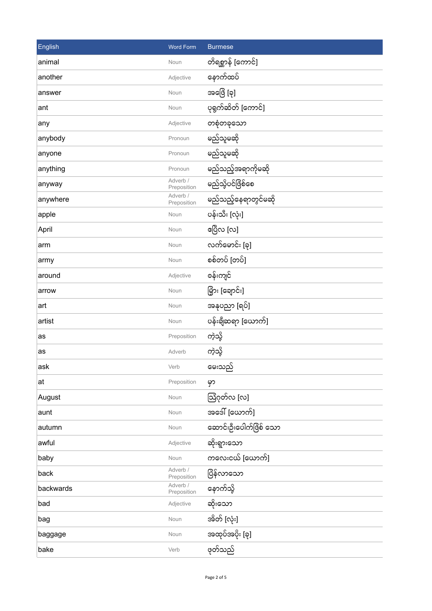| English   | <b>Word Form</b>        | <b>Burmese</b>         |
|-----------|-------------------------|------------------------|
| animal    | Noun                    | တိရစ္ဆာန် [ကောင်]      |
| another   | Adjective               | နောက်ထပ်               |
| answer    | Noun                    | အဖြေ [ခု]              |
| ant       | Noun                    | ပုရွက်ဆိတ် [ကောင်]     |
| any       | Adjective               | တစုံတခုသော             |
| anybody   | Pronoun                 | မည်သူမဆို              |
| anyone    | Pronoun                 | မည်သူမဆို              |
| anything  | Pronoun                 | မည်သည့်အရာကိုမဆို      |
| anyway    | Adverb /<br>Preposition | မည်သို့ပင်ဖြိစ်စေ      |
| anywhere  | Adverb /<br>Preposition | မည်သည့်နေရာတွင်မဆို    |
| apple     | Noun                    | ပန်းသီး [လုံး]         |
| April     | Noun                    | ဧပြီလ [လ]              |
| arm       | Noun                    | လက်မောင်း [ခု]         |
| army      | Noun                    | စစ်တပ် [တပ်]           |
| around    | Adjective               | စန်းကျင်               |
| arrow     | Noun                    | မြှား [ချောင်း]        |
| art       | Noun                    | အနုပညာ [ရပ်]           |
| artist    | Noun                    | ပန်းချီဆရာ [ယောက်]     |
| as        | Preposition             | ကဲ့သို့                |
| as        | Adverb                  | ကဲ့သို့                |
| ask       | Verb                    | မေးသည်                 |
| at        | Preposition             | မှာ                    |
| August    | Noun                    | ဩဂုတ်လ [လ]             |
| aunt      | Noun                    | အဒေါ်[ယောက်]           |
| autumn    | Noun                    | ဆောင်းဦးပေါက်ဖြိစ် သော |
| awful     | Adjective               | ဆိုးရွားသော            |
| baby      | Noun                    | ကလေးငယ် [ယောက်]        |
| back      | Adverb /<br>Preposition | ပြိန်လာသော             |
| backwards | Adverb /<br>Preposition | နောက်သို့              |
| bad       | Adjective               | ဆိုးသော                |
| bag       | Noun                    | အိတ် [လုံး]            |
| baggage   | Noun                    | အထုပ်အပိုး [ခု]        |
| bake      | Verb                    | ဖုတ်သည်                |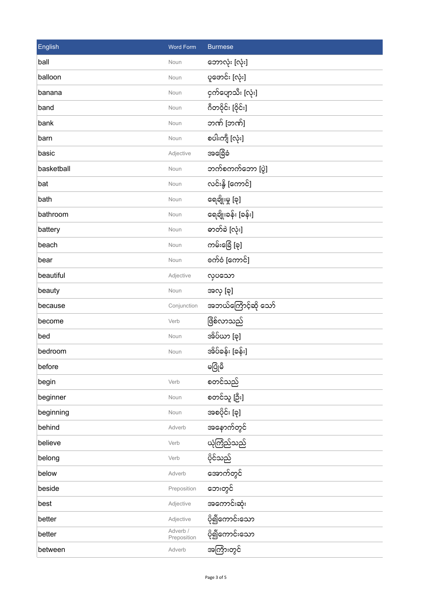| English    | <b>Word Form</b>        | <b>Burmese</b>      |
|------------|-------------------------|---------------------|
| ball       | Noun                    | ဘောလုံး [လုံး]      |
| balloon    | Noun                    | ပူဖောင်း [လုံး]     |
| banana     | Noun                    | ငှက်ပျောသီး [လုံး]  |
| band       | Noun                    | ဂီတဝိုင်း [ဝိုင်း]  |
| bank       | Noun                    | ဘဏ် [ဘဏ်]           |
| barn       | Noun                    | စပါးကျီ [လုံး]      |
| basic      | Adjective               | အခြေံခံ             |
| basketball | Noun                    | ဘက်စကက်ဘော [ပွဲ]    |
| bat        | Noun                    | လင်းနို့ [ကောင်]    |
| bath       | Noun                    | ရေချိုးမှု [ခု]     |
| bathroom   | Noun                    | ရေချိုးခန်း [ခန်း]  |
| battery    | Noun                    | ဓာတ်ခဲ [လုံး]       |
| beach      | Noun                    | ကမ်းခြေံ [ခု]       |
| bear       | Noun                    | စက်ဝံ [ကောင်]       |
| beautiful  | Adjective               | လုပသော              |
| beauty     | Noun                    | အလှ [ခု]            |
| because    | Conjunction             | အဘယ်ကြောင့်ဆို သော် |
| become     | Verb                    | ဖြိစ်လာသည်          |
| bed        | Noun                    | အိပ်ယာ [ခု]         |
| bedroom    | Noun                    | အိပ်ခန်း [ခန်း]     |
| before     |                         | မပြုံမီ             |
| begin      | Verb                    | စတင်သည်             |
| beginner   | Noun                    | စတင်သူ [ဦး]         |
| beginning  | Noun                    | အစပိုင်း [ခု]       |
| behind     | Adverb                  | အနောက်တွင်          |
| believe    | Verb                    | ယုံကြံည်သည်         |
| belong     | Verb                    | ပိုင်သည်            |
| below      | Adverb                  | အောက်တွင်           |
| beside     | Preposition             | ဘေးတွင်             |
| best       | Adjective               | အကောင်းဆုံး         |
| better     | Adjective               | ပို၍ကောင်းသော       |
| better     | Adverb /<br>Preposition | ပို၍ကောင်းသော       |
| between    | Adverb                  | အကြားတွင်           |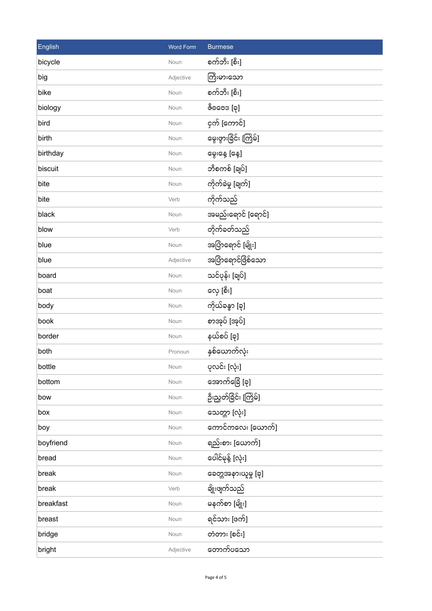| English   | <b>Word Form</b> | <b>Burmese</b>        |
|-----------|------------------|-----------------------|
| bicycle   | Noun             | စက်ဘီး [စီး]          |
| big       | Adjective        | ကြီးမားသော            |
| bike      | Noun             | စက်ဘီး [စီး]          |
| biology   | Noun             | ဇီ၀ဗေဒ [ခု]           |
| bird      | Noun             | ငှက် [ကောင်]          |
| birth     | Noun             | မွေးဖွားခြင်း [ကြိမ်] |
| birthday  | Noun             | မွေးနေ့ [နေ့]         |
| biscuit   | Noun             | ဘီစကစ် [ချပ်]         |
| bite      | Noun             | ကိုက်ခဲမှု [ချက်]     |
| bite      | Verb             | ကိုက်သည်              |
| black     | Noun             | အမည်းရောင် [ရောင်]    |
| blow      | Verb             | တိုက်ခတ်သည်           |
| blue      | Noun             | အပြာရောင် [မျိုး]     |
| blue      | Adjective        | အပြာရောင်ဖြစ်သော      |
| board     | Noun             | သင်ပုန်း [ချပ်]       |
| boat      | Noun             | လှေ [စီး]             |
| body      | Noun             | ကိုယ်ခန္ဓာ [ခု]       |
| book      | Noun             | စာအုပ် [အုပ်]         |
| border    | Noun             | နယ်စပ် [ခု]           |
| both      | Pronoun          | နှစ်ယောက်လုံး         |
| bottle    | Noun             | ပုလင်း [လုံး]         |
| bottom    | Noun             | အောက်ခြေ [ခု]         |
| bow       | Noun             | ဦးညွှတ်ခြိင်း [ကြိမ်] |
| box       | Noun             | သေတ္တာ [လုံး]         |
| boy       | Noun             | ကောင်ကလေး [ယောက်]     |
| boyfriend | Noun             | ရည်းစား [ယောက်]       |
| bread     | Noun             | ပေါင်မုန့် [လုံး]     |
| break     | Noun             | ခေတ္တအနားယူမှု [ခု]   |
| break     | Verb             | ချိုးဖျက်သည်          |
| breakfast | Noun             | မနက်စာ [မျိုး]        |
| breast    | Noun             | ရင်သား [ဖက်]          |
| bridge    | Noun             | တံတား [စင်း]          |
| bright    | Adjective        | တောက်ပသော             |